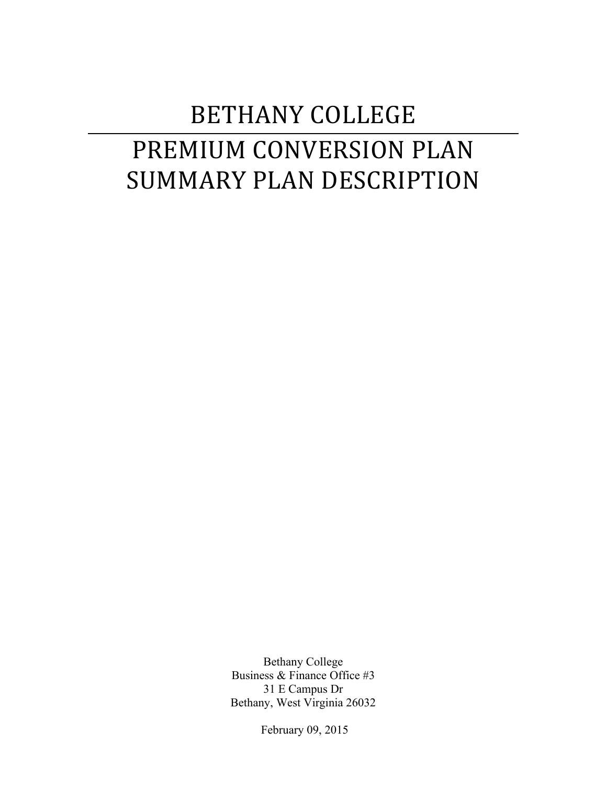# BETHANY COLLEGE PREMIUM CONVERSION PLAN SUMMARY PLAN DESCRIPTION

Bethany College Business & Finance Office #3 31 E Campus Dr Bethany, West Virginia 26032

February 09, 2015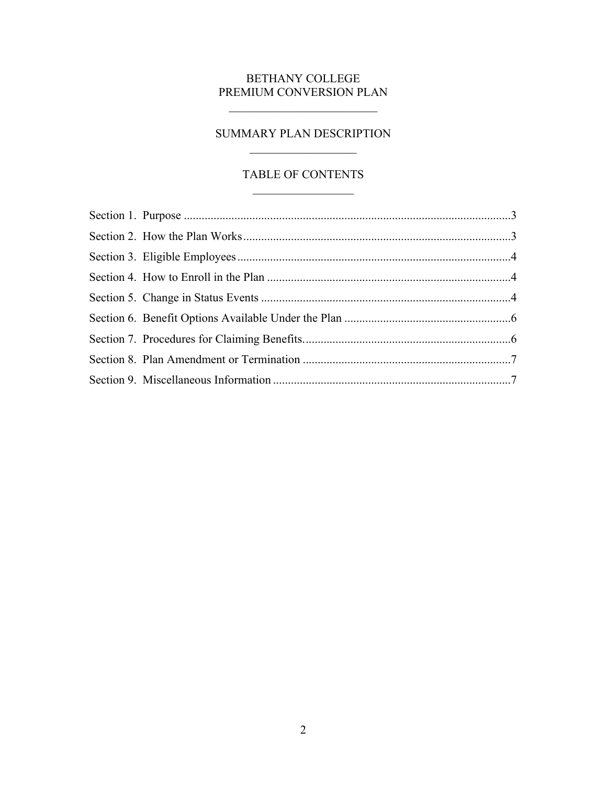# BETHANY COLLEGE PREMIUM CONVERSION PLAN

 $\frac{1}{2}$  ,  $\frac{1}{2}$  ,  $\frac{1}{2}$  ,  $\frac{1}{2}$  ,  $\frac{1}{2}$  ,  $\frac{1}{2}$  ,  $\frac{1}{2}$  ,  $\frac{1}{2}$  ,  $\frac{1}{2}$  ,  $\frac{1}{2}$  ,  $\frac{1}{2}$  ,  $\frac{1}{2}$  ,  $\frac{1}{2}$  ,  $\frac{1}{2}$  ,  $\frac{1}{2}$  ,  $\frac{1}{2}$  ,  $\frac{1}{2}$  ,  $\frac{1}{2}$  ,  $\frac{1$ 

# SUMMARY PLAN DESCRIPTION  $\overline{\phantom{a}}$  , and the set of the set of the set of the set of the set of the set of the set of the set of the set of the set of the set of the set of the set of the set of the set of the set of the set of the set of the s

# TABLE OF CONTENTS  $\_$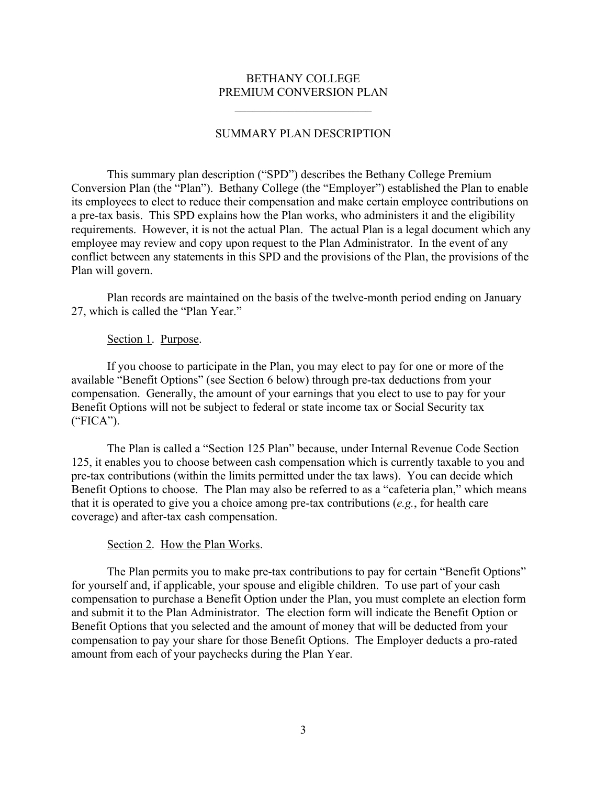## BETHANY COLLEGE PREMIUM CONVERSION PLAN

 $\mathcal{L}_\text{max}$  , where  $\mathcal{L}_\text{max}$  , we are the set of the set of the set of the set of the set of the set of the set of the set of the set of the set of the set of the set of the set of the set of the set of the set of

## SUMMARY PLAN DESCRIPTION

This summary plan description ("SPD") describes the Bethany College Premium Conversion Plan (the "Plan"). Bethany College (the "Employer") established the Plan to enable its employees to elect to reduce their compensation and make certain employee contributions on a pre-tax basis. This SPD explains how the Plan works, who administers it and the eligibility requirements. However, it is not the actual Plan. The actual Plan is a legal document which any employee may review and copy upon request to the Plan Administrator. In the event of any conflict between any statements in this SPD and the provisions of the Plan, the provisions of the Plan will govern.

Plan records are maintained on the basis of the twelve-month period ending on January 27, which is called the "Plan Year."

#### <span id="page-2-0"></span>Section 1. Purpose.

If you choose to participate in the Plan, you may elect to pay for one or more of the available "Benefit Options" (see Section 6 below) through pre-tax deductions from your compensation. Generally, the amount of your earnings that you elect to use to pay for your Benefit Options will not be subject to federal or state income tax or Social Security tax ("FICA").

The Plan is called a "Section 125 Plan" because, under Internal Revenue Code Section 125, it enables you to choose between cash compensation which is currently taxable to you and pre-tax contributions (within the limits permitted under the tax laws). You can decide which Benefit Options to choose. The Plan may also be referred to as a "cafeteria plan," which means that it is operated to give you a choice among pre-tax contributions (*e.g.*, for health care coverage) and after-tax cash compensation.

#### <span id="page-2-1"></span>Section 2. How the Plan Works.

The Plan permits you to make pre-tax contributions to pay for certain "Benefit Options" for yourself and, if applicable, your spouse and eligible children. To use part of your cash compensation to purchase a Benefit Option under the Plan, you must complete an election form and submit it to the Plan Administrator. The election form will indicate the Benefit Option or Benefit Options that you selected and the amount of money that will be deducted from your compensation to pay your share for those Benefit Options. The Employer deducts a pro-rated amount from each of your paychecks during the Plan Year.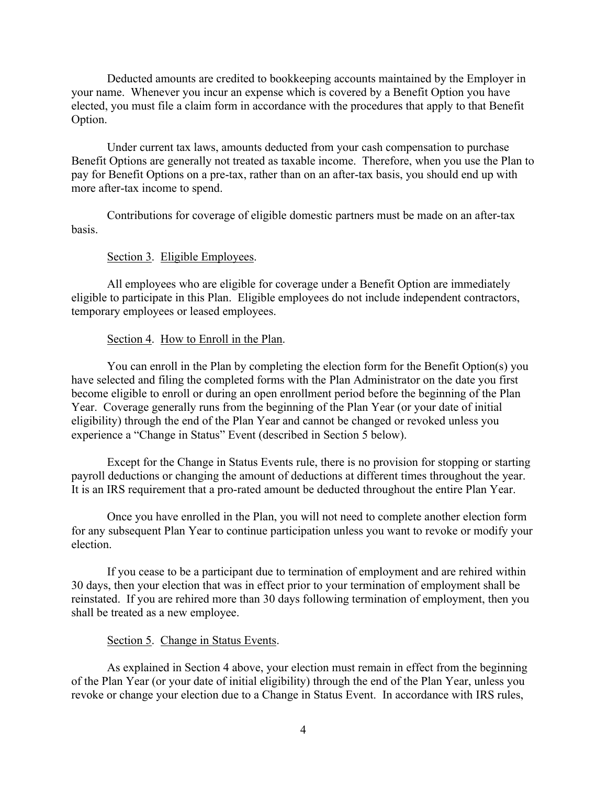Deducted amounts are credited to bookkeeping accounts maintained by the Employer in your name. Whenever you incur an expense which is covered by a Benefit Option you have elected, you must file a claim form in accordance with the procedures that apply to that Benefit Option.

Under current tax laws, amounts deducted from your cash compensation to purchase Benefit Options are generally not treated as taxable income. Therefore, when you use the Plan to pay for Benefit Options on a pre-tax, rather than on an after-tax basis, you should end up with more after-tax income to spend.

Contributions for coverage of eligible domestic partners must be made on an after-tax basis.

#### <span id="page-3-0"></span>Section 3. Eligible Employees.

All employees who are eligible for coverage under a Benefit Option are immediately eligible to participate in this Plan. Eligible employees do not include independent contractors, temporary employees or leased employees.

## <span id="page-3-1"></span>Section 4. How to Enroll in the Plan.

You can enroll in the Plan by completing the election form for the Benefit Option(s) you have selected and filing the completed forms with the Plan Administrator on the date you first become eligible to enroll or during an open enrollment period before the beginning of the Plan Year. Coverage generally runs from the beginning of the Plan Year (or your date of initial eligibility) through the end of the Plan Year and cannot be changed or revoked unless you experience a "Change in Status" Event (described in Section 5 below).

Except for the Change in Status Events rule, there is no provision for stopping or starting payroll deductions or changing the amount of deductions at different times throughout the year. It is an IRS requirement that a pro-rated amount be deducted throughout the entire Plan Year.

Once you have enrolled in the Plan, you will not need to complete another election form for any subsequent Plan Year to continue participation unless you want to revoke or modify your election.

If you cease to be a participant due to termination of employment and are rehired within 30 days, then your election that was in effect prior to your termination of employment shall be reinstated. If you are rehired more than 30 days following termination of employment, then you shall be treated as a new employee.

#### <span id="page-3-2"></span>Section 5. Change in Status Events.

As explained in Section 4 above, your election must remain in effect from the beginning of the Plan Year (or your date of initial eligibility) through the end of the Plan Year, unless you revoke or change your election due to a Change in Status Event. In accordance with IRS rules,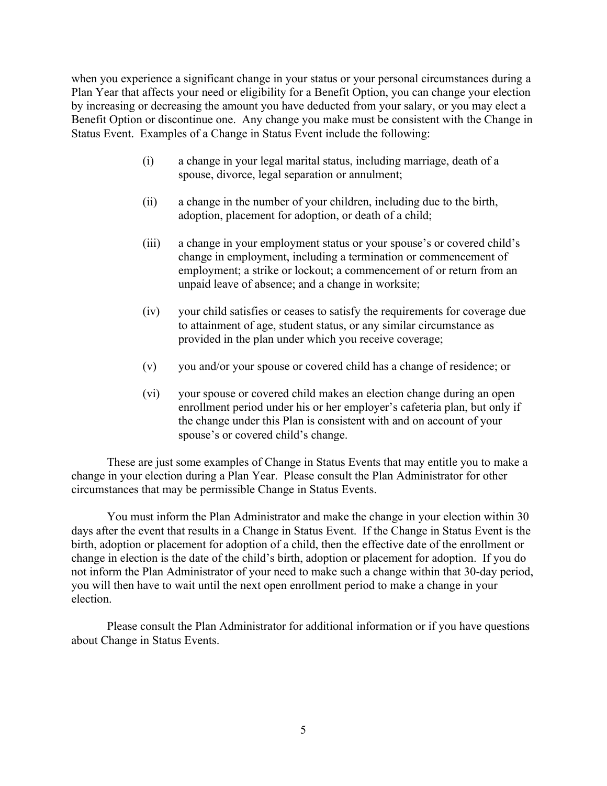when you experience a significant change in your status or your personal circumstances during a Plan Year that affects your need or eligibility for a Benefit Option, you can change your election by increasing or decreasing the amount you have deducted from your salary, or you may elect a Benefit Option or discontinue one. Any change you make must be consistent with the Change in Status Event. Examples of a Change in Status Event include the following:

- (i) a change in your legal marital status, including marriage, death of a spouse, divorce, legal separation or annulment;
- (ii) a change in the number of your children, including due to the birth, adoption, placement for adoption, or death of a child;
- (iii) a change in your employment status or your spouse's or covered child's change in employment, including a termination or commencement of employment; a strike or lockout; a commencement of or return from an unpaid leave of absence; and a change in worksite;
- (iv) your child satisfies or ceases to satisfy the requirements for coverage due to attainment of age, student status, or any similar circumstance as provided in the plan under which you receive coverage;
- (v) you and/or your spouse or covered child has a change of residence; or
- (vi) your spouse or covered child makes an election change during an open enrollment period under his or her employer's cafeteria plan, but only if the change under this Plan is consistent with and on account of your spouse's or covered child's change.

These are just some examples of Change in Status Events that may entitle you to make a change in your election during a Plan Year. Please consult the Plan Administrator for other circumstances that may be permissible Change in Status Events.

You must inform the Plan Administrator and make the change in your election within 30 days after the event that results in a Change in Status Event. If the Change in Status Event is the birth, adoption or placement for adoption of a child, then the effective date of the enrollment or change in election is the date of the child's birth, adoption or placement for adoption. If you do not inform the Plan Administrator of your need to make such a change within that 30-day period, you will then have to wait until the next open enrollment period to make a change in your election.

Please consult the Plan Administrator for additional information or if you have questions about Change in Status Events.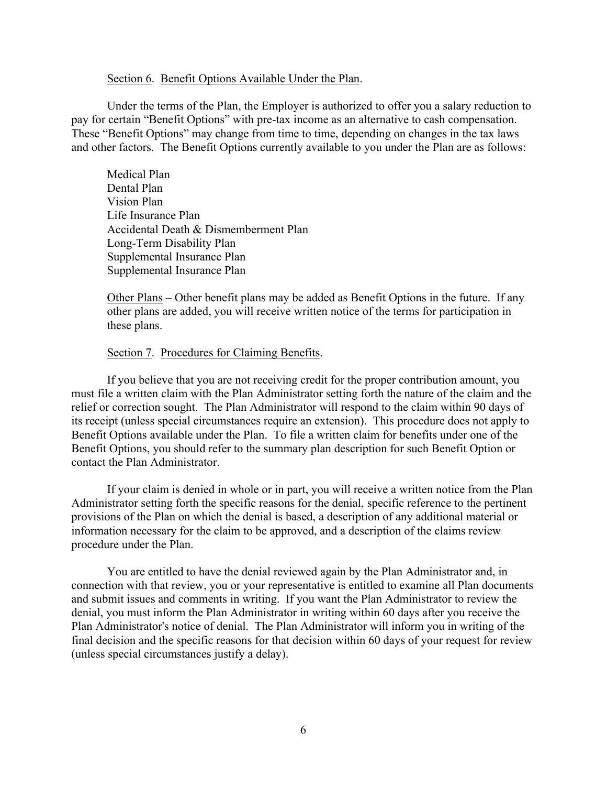#### <span id="page-5-0"></span>Section 6. Benefit Options Available Under the Plan.

Under the terms of the Plan, the Employer is authorized to offer you a salary reduction to pay for certain "Benefit Options" with pre-tax income as an alternative to cash compensation. These "Benefit Options" may change from time to time, depending on changes in the tax laws and other factors. The Benefit Options currently available to you under the Plan are as follows:

Medical Plan Dental Plan Vision Plan Life Insurance Plan Accidental Death & Dismemberment Plan Long-Term Disability Plan Supplemental Insurance Plan Supplemental Insurance Plan

Other Plans – Other benefit plans may be added as Benefit Options in the future. If any other plans are added, you will receive written notice of the terms for participation in these plans.

#### <span id="page-5-1"></span>Section 7. Procedures for Claiming Benefits.

If you believe that you are not receiving credit for the proper contribution amount, you must file a written claim with the Plan Administrator setting forth the nature of the claim and the relief or correction sought. The Plan Administrator will respond to the claim within 90 days of its receipt (unless special circumstances require an extension). This procedure does not apply to Benefit Options available under the Plan. To file a written claim for benefits under one of the Benefit Options, you should refer to the summary plan description for such Benefit Option or contact the Plan Administrator.

If your claim is denied in whole or in part, you will receive a written notice from the Plan Administrator setting forth the specific reasons for the denial, specific reference to the pertinent provisions of the Plan on which the denial is based, a description of any additional material or information necessary for the claim to be approved, and a description of the claims review procedure under the Plan.

You are entitled to have the denial reviewed again by the Plan Administrator and, in connection with that review, you or your representative is entitled to examine all Plan documents and submit issues and comments in writing. If you want the Plan Administrator to review the denial, you must inform the Plan Administrator in writing within 60 days after you receive the Plan Administrator's notice of denial. The Plan Administrator will inform you in writing of the final decision and the specific reasons for that decision within 60 days of your request for review (unless special circumstances justify a delay).